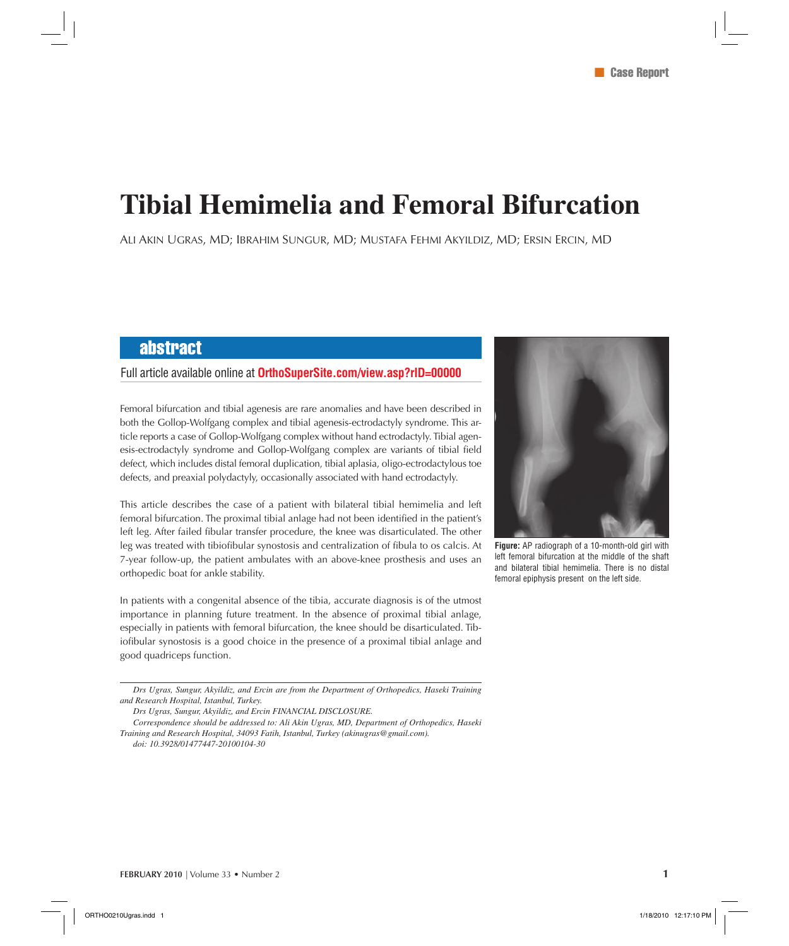# **Tibial Hemimelia and Femoral Bifurcation**

ALI AKIN UGRAS, MD; IBRAHIM SUNGUR, MD; MUSTAFA FEHMI AKYILDIZ, MD; ERSIN ERCIN, MD

## abstract

### Full article available online at **OrthoSuperSite.com/view.asp?rID=00000**



**Figure:** AP radiograph of a 10-month-old girl with left femoral bifurcation at the middle of the shaft and bilateral tibial hemimelia. There is no distal femoral epiphysis present on the left side.

Femoral bifurcation and tibial agenesis are rare anomalies and have been described in both the Gollop-Wolfgang complex and tibial agenesis-ectrodactyly syndrome. This article reports a case of Gollop-Wolfgang complex without hand ectrodactyly. Tibial agenesis-ectrodactyly syndrome and Gollop-Wolfgang complex are variants of tibial field defect, which includes distal femoral duplication, tibial aplasia, oligo-ectrodactylous toe defects, and preaxial polydactyly, occasionally associated with hand ectrodactyly.

This article describes the case of a patient with bilateral tibial hemimelia and left femoral bifurcation. The proximal tibial anlage had not been identified in the patient's left leg. After failed fibular transfer procedure, the knee was disarticulated. The other leg was treated with tibiofibular synostosis and centralization of fibula to os calcis. At 7-year follow-up, the patient ambulates with an above-knee prosthesis and uses an orthopedic boat for ankle stability.

In patients with a congenital absence of the tibia, accurate diagnosis is of the utmost importance in planning future treatment. In the absence of proximal tibial anlage, especially in patients with femoral bifurcation, the knee should be disarticulated. Tibiofibular synostosis is a good choice in the presence of a proximal tibial anlage and good quadriceps function.

*Drs Ugras, Sungur, Akyildiz, and Ercin are from the Department of Orthopedics, Haseki Training and Research Hospital, Istanbul, Turkey.*

*Drs Ugras, Sungur, Akyildiz, and Ercin FINANCIAL DISCLOSURE.*

*Correspondence should be addressed to: Ali Akin Ugras, MD, Department of Orthopedics, Haseki Training and Research Hospital, 34093 Fatih, Istanbul, Turkey (akinugras@gmail.com).*

*doi: 10.3928/01477447-20100104-30*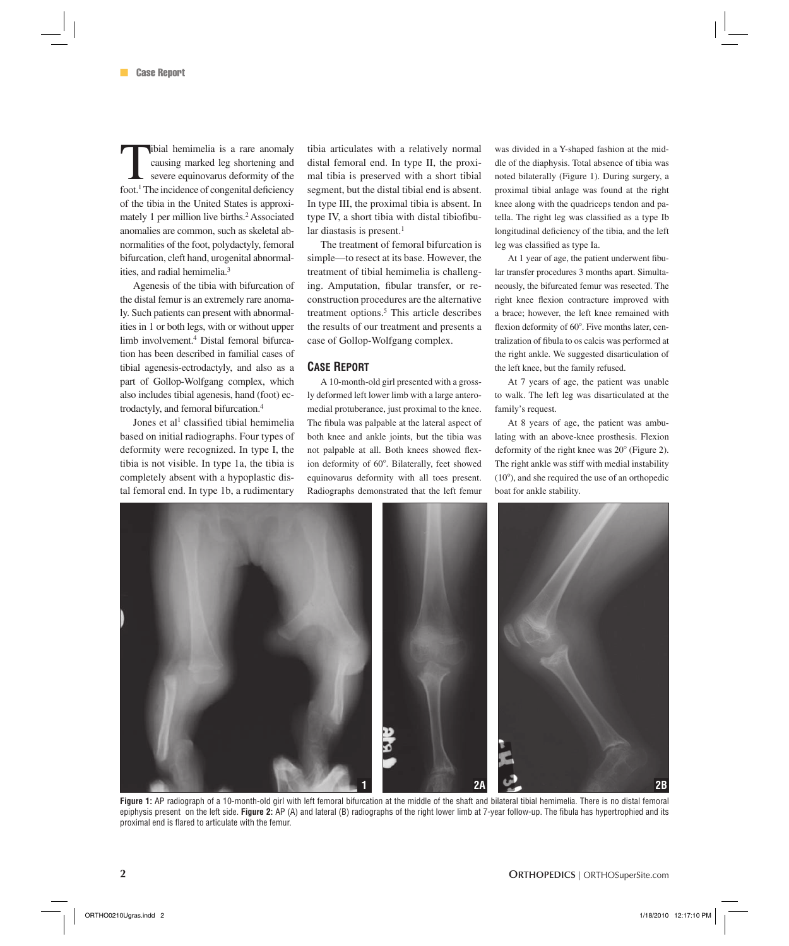tibial hemimelia is a rare anomaly causing marked leg shortening and severe equinovarus deformity of the foot.<sup>1</sup> The incidence of congenital deficiency of the tibia in the United States is approximately 1 per million live births.<sup>2</sup> Associated anomalies are common, such as skeletal abnormalities of the foot, polydactyly, femoral bifurcation, cleft hand, urogenital abnormalities, and radial hemimelia.3

Agenesis of the tibia with bifurcation of the distal femur is an extremely rare anomaly. Such patients can present with abnormalities in 1 or both legs, with or without upper limb involvement.4 Distal femoral bifurcation has been described in familial cases of tibial agenesis-ectrodactyly, and also as a part of Gollop-Wolfgang complex, which also includes tibial agenesis, hand (foot) ectrodactyly, and femoral bifurcation.4

Jones et al<sup>1</sup> classified tibial hemimelia based on initial radiographs. Four types of deformity were recognized. In type I, the tibia is not visible. In type 1a, the tibia is completely absent with a hypoplastic distal femoral end. In type 1b, a rudimentary

tibia articulates with a relatively normal distal femoral end. In type II, the proximal tibia is preserved with a short tibial segment, but the distal tibial end is absent. In type III, the proximal tibia is absent. In type IV, a short tibia with distal tibiofibular diastasis is present. $<sup>1</sup>$ </sup>

The treatment of femoral bifurcation is simple—to resect at its base. However, the treatment of tibial hemimelia is challenging. Amputation, fibular transfer, or reconstruction procedures are the alternative treatment options.<sup>5</sup> This article describes the results of our treatment and presents a case of Gollop-Wolfgang complex.

#### **CASE REPORT**

A 10-month-old girl presented with a grossly deformed left lower limb with a large anteromedial protuberance, just proximal to the knee. The fibula was palpable at the lateral aspect of both knee and ankle joints, but the tibia was not palpable at all. Both knees showed flexion deformity of 60°. Bilaterally, feet showed equinovarus deformity with all toes present. Radiographs demonstrated that the left femur

was divided in a Y-shaped fashion at the middle of the diaphysis. Total absence of tibia was noted bilaterally (Figure 1). During surgery, a proximal tibial anlage was found at the right knee along with the quadriceps tendon and patella. The right leg was classified as a type Ib longitudinal deficiency of the tibia, and the left leg was classified as type Ia.

At 1 year of age, the patient underwent fibular transfer procedures 3 months apart. Simultaneously, the bifurcated femur was resected. The right knee flexion contracture improved with a brace; however, the left knee remained with flexion deformity of 60°. Five months later, centralization of fibula to os calcis was performed at the right ankle. We suggested disarticulation of the left knee, but the family refused.

At 7 years of age, the patient was unable to walk. The left leg was disarticulated at the family's request.

At 8 years of age, the patient was ambulating with an above-knee prosthesis. Flexion deformity of the right knee was  $20^{\circ}$  (Figure 2). The right ankle was stiff with medial instability  $(10^{\circ})$ , and she required the use of an orthopedic boat for ankle stability.



**Figure 1:** AP radiograph of a 10-month-old girl with left femoral bifurcation at the middle of the shaft and bilateral tibial hemimelia. There is no distal femoral epiphysis present on the left side. Figure 2: AP (A) and lateral (B) radiographs of the right lower limb at 7-year follow-up. The fibula has hypertrophied and its proximal end is flared to articulate with the femur.